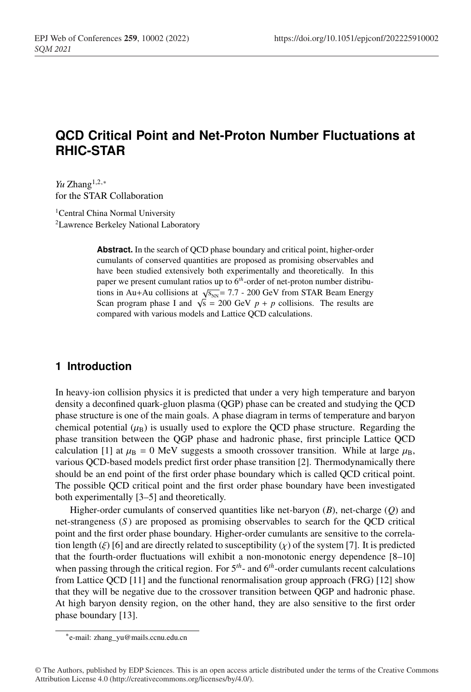# **QCD Critical Point and Net-Proton Number Fluctuations at RHIC-STAR**

*Yu* Zhang<sup>1,2,∗</sup> for the STAR Collaboration

<sup>1</sup>Central China Normal University 2Lawrence Berkeley National Laboratory

> **Abstract.** In the search of QCD phase boundary and critical point, higher-order cumulants of conserved quantities are proposed as promising observables and have been studied extensively both experimentally and theoretically. In this paper we present cumulant ratios up to 6*th*-order of net-proton number distributions in Au+Au collisions at  $\sqrt{s_{NN}}$  = 7.7 - 200 GeV from STAR Beam Energy Scan program phase I and  $\sqrt{s} = 200$  GeV  $p + p$  collisions. The results are compared with various models and Lattice QCD calculations.

### **1 Introduction**

In heavy-ion collision physics it is predicted that under a very high temperature and baryon density a deconfined quark-gluon plasma (QGP) phase can be created and studying the QCD phase structure is one of the main goals. A phase diagram in terms of temperature and baryon chemical potential  $(\mu_B)$  is usually used to explore the QCD phase structure. Regarding the phase transition between the QGP phase and hadronic phase, first principle Lattice QCD calculation [1] at  $\mu_B = 0$  MeV suggests a smooth crossover transition. While at large  $\mu_B$ , various QCD-based models predict first order phase transition [2]. Thermodynamically there should be an end point of the first order phase boundary which is called QCD critical point. The possible QCD critical point and the first order phase boundary have been investigated both experimentally [3–5] and theoretically.

Higher-order cumulants of conserved quantities like net-baryon (*B*), net-charge (*Q*) and net-strangeness (*S* ) are proposed as promising observables to search for the QCD critical point and the first order phase boundary. Higher-order cumulants are sensitive to the correlation length ( $\xi$ ) [6] and are directly related to susceptibility ( $\chi$ ) of the system [7]. It is predicted that the fourth-order fluctuations will exhibit a non-monotonic energy dependence [8–10] when passing through the critical region. For  $5<sup>th</sup>$ - and  $6<sup>th</sup>$ -order cumulants recent calculations from Lattice QCD [11] and the functional renormalisation group approach (FRG) [12] show that they will be negative due to the crossover transition between QGP and hadronic phase. At high baryon density region, on the other hand, they are also sensitive to the first order phase boundary [13].

<sup>∗</sup>e-mail: zhang\_yu@mails.ccnu.edu.cn

<sup>©</sup> The Authors, published by EDP Sciences. This is an open access article distributed under the terms of the Creative Commons Attribution License 4.0 (http://creativecommons.org/licenses/by/4.0/).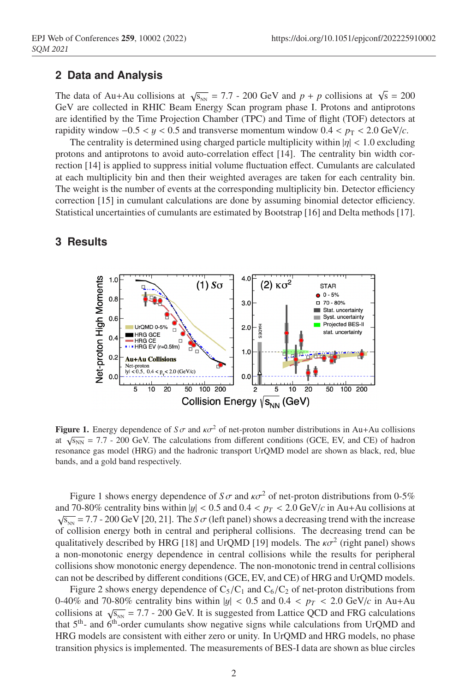#### **2 Data and Analysis**

The data of Au+Au collisions at  $\sqrt{s_{NN}} = 7.7$  - 200 GeV and  $p + p$  collisions at  $\sqrt{s} = 200$ GeV are collected in RHIC Beam Energy Scan program phase I. Protons and antiprotons are identified by the Time Projection Chamber (TPC) and Time of flight (TOF) detectors at rapidity window  $-0.5 < y < 0.5$  and transverse momentum window  $0.4 < p_T < 2.0$  GeV/*c*.

The centrality is determined using charged particle multiplicity within  $|\eta| < 1.0$  excluding protons and antiprotons to avoid auto-correlation effect [14]. The centrality bin width correction [14] is applied to suppress initial volume fluctuation effect. Cumulants are calculated at each multiplicity bin and then their weighted averages are taken for each centrality bin. The weight is the number of events at the corresponding multiplicity bin. Detector efficiency correction [15] in cumulant calculations are done by assuming binomial detector efficiency. Statistical uncertainties of cumulants are estimated by Bootstrap [16] and Delta methods [17].



### **3 Results**

**Figure 1.** Energy dependence of  $S\sigma$  and  $\kappa\sigma^2$  of net-proton number distributions in Au+Au collisions at  $\sqrt{s_{NN}}$  = 7.7 - 200 GeV. The calculations from different conditions (GCE, EV, and CE) of hadron resonance gas model (HRG) and the hadronic transport UrQMD model are shown as black, red, blue bands, and a gold band respectively.

Figure 1 shows energy dependence of  $S\sigma$  and  $\kappa\sigma^2$  of net-proton distributions from 0-5% and 70-80% centrality bins within  $|y| < 0.5$  and  $0.4 < p_T < 2.0$  GeV/*c* in Au+Au collisions at  $\sqrt{s_{NN}}$  = 7.7 - 200 GeV [20, 21]. The *S* $\sigma$  (left panel) shows a decreasing trend with the increase of collision energy both in central and peripheral collisions. The decreasing trend can be qualitatively described by HRG [18] and UrQMD [19] models. The  $\kappa \sigma^2$  (right panel) shows a non-monotonic energy dependence in central collisions while the results for peripheral collisions show monotonic energy dependence. The non-monotonic trend in central collisions can not be described by different conditions (GCE, EV, and CE) of HRG and UrQMD models.

Figure 2 shows energy dependence of  $C_5/C_1$  and  $C_6/C_2$  of net-proton distributions from 0-40% and 70-80% centrality bins within  $|y|$  < 0.5 and 0.4 <  $p_T$  < 2.0 GeV/*c* in Au+Au collisions at  $\sqrt{s_{NN}}$  = 7.7 - 200 GeV. It is suggested from Lattice QCD and FRG calculations that  $5<sup>th</sup>$ - and  $6<sup>th</sup>$ -order cumulants show negative signs while calculations from UrQMD and HRG models are consistent with either zero or unity. In UrQMD and HRG models, no phase transition physics is implemented. The measurements of BES-I data are shown as blue circles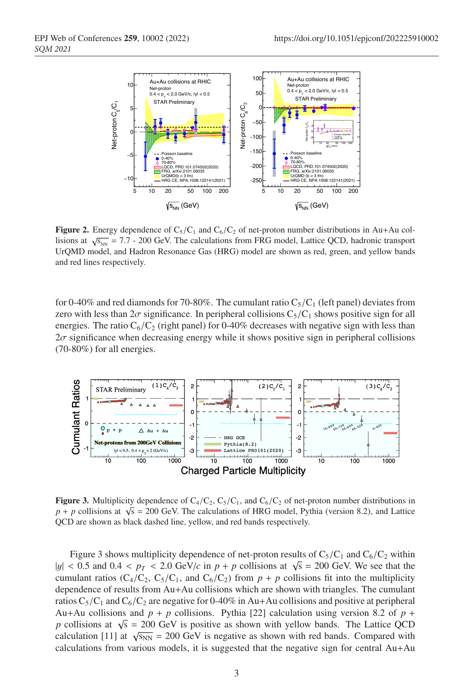

Figure 2. Energy dependence of  $C_5/C_1$  and  $C_6/C_2$  of net-proton number distributions in Au+Au collisions at  $\sqrt{s_{NN}}$  = 7.7 - 200 GeV. The calculations from FRG model, Lattice QCD, hadronic transport UrQMD model, and Hadron Resonance Gas (HRG) model are shown as red, green, and yellow bands and red lines respectively.

for 0-40% and red diamonds for 70-80%. The cumulant ratio  $C_5/C_1$  (left panel) deviates from zero with less than  $2\sigma$  significance. In peripheral collisions  $C_5/C_1$  shows positive sign for all energies. The ratio  $C_6/C_2$  (right panel) for 0-40% decreases with negative sign with less than  $2\sigma$  significance when decreasing energy while it shows positive sign in peripheral collisions (70-80%) for all energies.



**Figure 3.** Multiplicity dependence of  $C_4/C_2$ ,  $C_5/C_1$ , and  $C_6/C_2$  of net-proton number distributions in  $p + p$  collisions at  $\sqrt{s} = 200$  GeV. The calculations of HRG model, Pythia (version 8.2), and Lattice QCD are shown as black dashed line, yellow, and red bands respectively.

Figure 3 shows multiplicity dependence of net-proton results of  $C_5/C_1$  and  $C_6/C_2$  within  $|y| < 0.5$  and  $0.4 < p_T < 2.0$  GeV/*c* in  $p + p$  collisions at  $\sqrt{s} = 200$  GeV. We see that the cumulant ratios (C<sub>4</sub>/C<sub>2</sub>, C<sub>5</sub>/C<sub>1</sub>, and C<sub>6</sub>/C<sub>2</sub>) from  $p + p$  collisions fit into the multiplicity dependence of results from Au+Au collisions which are shown with triangles. The cumulant ratios  $C_5/C_1$  and  $C_6/C_2$  are negative for 0-40% in Au+Au collisions and positive at peripheral Au+Au collisions and  $p + p$  collisions. Pythia [22] calculation using version 8.2 of  $p +$ *p* collisions at  $\sqrt{s} = 200$  GeV is positive as shown with yellow bands. The Lattice QCD calculation [11] at  $\sqrt{s_{NN}}$  = 200 GeV is negative as shown with red bands. Compared with calculations from various models, it is suggested that the negative sign for central Au+Au